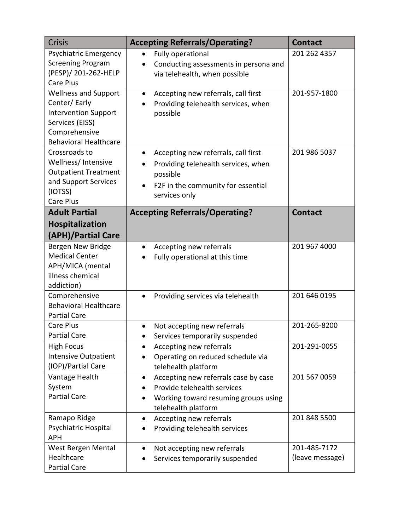| <b>Crisis</b>                                                                                                                                  | <b>Accepting Referrals/Operating?</b>                                                                                                                      | <b>Contact</b>                  |
|------------------------------------------------------------------------------------------------------------------------------------------------|------------------------------------------------------------------------------------------------------------------------------------------------------------|---------------------------------|
| <b>Psychiatric Emergency</b><br><b>Screening Program</b><br>(PESP)/ 201-262-HELP<br><b>Care Plus</b>                                           | Fully operational<br>$\bullet$<br>Conducting assessments in persona and<br>via telehealth, when possible                                                   | 201 262 4357                    |
| <b>Wellness and Support</b><br>Center/Early<br><b>Intervention Support</b><br>Services (EISS)<br>Comprehensive<br><b>Behavioral Healthcare</b> | Accepting new referrals, call first<br>$\bullet$<br>Providing telehealth services, when<br>possible                                                        | 201-957-1800                    |
| Crossroads to<br>Wellness/Intensive<br><b>Outpatient Treatment</b><br>and Support Services<br>(IOTSS)<br>Care Plus                             | Accepting new referrals, call first<br>$\bullet$<br>Providing telehealth services, when<br>possible<br>F2F in the community for essential<br>services only | 201 986 5037                    |
| <b>Adult Partial</b><br><b>Hospitalization</b><br>(APH)/Partial Care                                                                           | <b>Accepting Referrals/Operating?</b>                                                                                                                      | <b>Contact</b>                  |
| Bergen New Bridge<br><b>Medical Center</b><br>APH/MICA (mental<br>illness chemical<br>addiction)                                               | Accepting new referrals<br>$\bullet$<br>Fully operational at this time                                                                                     | 201 967 4000                    |
| Comprehensive<br><b>Behavioral Healthcare</b><br><b>Partial Care</b>                                                                           | Providing services via telehealth<br>$\bullet$                                                                                                             | 201 646 0195                    |
| Care Plus<br><b>Partial Care</b>                                                                                                               | Not accepting new referrals<br>Services temporarily suspended                                                                                              | 201-265-8200                    |
| <b>High Focus</b><br><b>Intensive Outpatient</b><br>(IOP)/Partial Care                                                                         | Accepting new referrals<br>$\bullet$<br>Operating on reduced schedule via<br>telehealth platform                                                           | 201-291-0055                    |
| Vantage Health<br>System<br><b>Partial Care</b>                                                                                                | Accepting new referrals case by case<br>٠<br>Provide telehealth services<br>Working toward resuming groups using<br>telehealth platform                    | 201 567 0059                    |
| Ramapo Ridge<br>Psychiatric Hospital<br><b>APH</b>                                                                                             | Accepting new referrals<br>Providing telehealth services                                                                                                   | 201 848 5500                    |
| West Bergen Mental<br>Healthcare<br><b>Partial Care</b>                                                                                        | Not accepting new referrals<br>$\bullet$<br>Services temporarily suspended                                                                                 | 201-485-7172<br>(leave message) |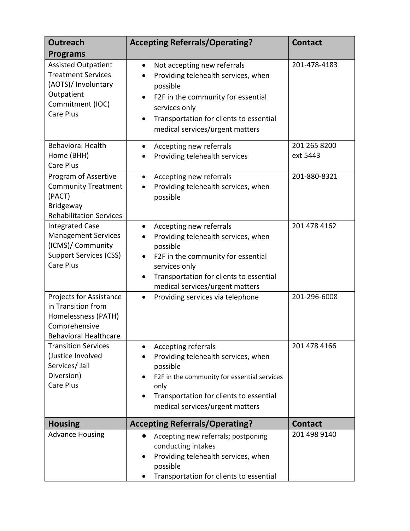| <b>Outreach</b><br><b>Programs</b>                                                                                             | <b>Accepting Referrals/Operating?</b>                                                                                                                                                                                                                           | <b>Contact</b>           |
|--------------------------------------------------------------------------------------------------------------------------------|-----------------------------------------------------------------------------------------------------------------------------------------------------------------------------------------------------------------------------------------------------------------|--------------------------|
| <b>Assisted Outpatient</b><br><b>Treatment Services</b><br>(AOTS)/ Involuntary<br>Outpatient<br>Commitment (IOC)<br>Care Plus  | Not accepting new referrals<br>$\bullet$<br>Providing telehealth services, when<br>$\bullet$<br>possible<br>F2F in the community for essential<br>$\bullet$<br>services only<br>Transportation for clients to essential<br>٠<br>medical services/urgent matters | 201-478-4183             |
| <b>Behavioral Health</b><br>Home (BHH)<br><b>Care Plus</b>                                                                     | Accepting new referrals<br>$\bullet$<br>Providing telehealth services                                                                                                                                                                                           | 201 265 8200<br>ext 5443 |
| Program of Assertive<br><b>Community Treatment</b><br>(PACT)<br><b>Bridgeway</b><br><b>Rehabilitation Services</b>             | Accepting new referrals<br>$\bullet$<br>Providing telehealth services, when<br>$\bullet$<br>possible                                                                                                                                                            | 201-880-8321             |
| <b>Integrated Case</b><br><b>Management Services</b><br>(ICMS)/ Community<br><b>Support Services (CSS)</b><br><b>Care Plus</b> | Accepting new referrals<br>$\bullet$<br>Providing telehealth services, when<br>possible<br>F2F in the community for essential<br>services only<br>Transportation for clients to essential<br>٠<br>medical services/urgent matters                               | 201 478 4162             |
| Projects for Assistance<br>in Transition from<br>Homelessness (PATH)<br>Comprehensive<br><b>Behavioral Healthcare</b>          | Providing services via telephone<br>$\bullet$                                                                                                                                                                                                                   | 201-296-6008             |
| <b>Transition Services</b><br>(Justice Involved<br>Services/ Jail<br>Diversion)<br><b>Care Plus</b>                            | <b>Accepting referrals</b><br>$\bullet$<br>Providing telehealth services, when<br>possible<br>F2F in the community for essential services<br>only<br>Transportation for clients to essential<br>medical services/urgent matters                                 | 201 478 4166             |
| <b>Housing</b>                                                                                                                 | <b>Accepting Referrals/Operating?</b>                                                                                                                                                                                                                           | <b>Contact</b>           |
| <b>Advance Housing</b>                                                                                                         | Accepting new referrals; postponing<br>$\bullet$<br>conducting intakes<br>Providing telehealth services, when<br>possible<br>Transportation for clients to essential                                                                                            | 201 498 9140             |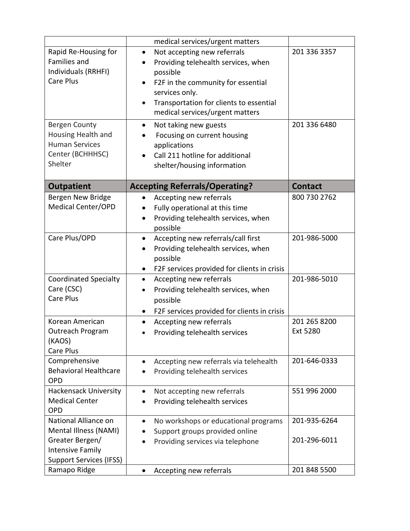|                                                                                                                                                                                       | medical services/urgent matters                                                                                                                                                                                                                                                                                                                                                                                    |                              |
|---------------------------------------------------------------------------------------------------------------------------------------------------------------------------------------|--------------------------------------------------------------------------------------------------------------------------------------------------------------------------------------------------------------------------------------------------------------------------------------------------------------------------------------------------------------------------------------------------------------------|------------------------------|
| Rapid Re-Housing for<br>Families and<br>Individuals (RRHFI)<br><b>Care Plus</b><br><b>Bergen County</b><br>Housing Health and<br><b>Human Services</b><br>Center (BCHHHSC)<br>Shelter | Not accepting new referrals<br>$\bullet$<br>Providing telehealth services, when<br>possible<br>F2F in the community for essential<br>$\bullet$<br>services only.<br>Transportation for clients to essential<br>$\bullet$<br>medical services/urgent matters<br>Not taking new guests<br>$\bullet$<br>Focusing on current housing<br>applications<br>Call 211 hotline for additional<br>shelter/housing information | 201 336 3357<br>201 336 6480 |
| <b>Outpatient</b>                                                                                                                                                                     | <b>Accepting Referrals/Operating?</b>                                                                                                                                                                                                                                                                                                                                                                              | <b>Contact</b>               |
| Bergen New Bridge<br><b>Medical Center/OPD</b>                                                                                                                                        | Accepting new referrals<br>Fully operational at this time<br>Providing telehealth services, when<br>possible                                                                                                                                                                                                                                                                                                       | 800 730 2762                 |
| Care Plus/OPD                                                                                                                                                                         | Accepting new referrals/call first<br>٠<br>Providing telehealth services, when<br>possible<br>F2F services provided for clients in crisis<br>$\bullet$                                                                                                                                                                                                                                                             | 201-986-5000                 |
| <b>Coordinated Specialty</b><br>Care (CSC)<br><b>Care Plus</b>                                                                                                                        | Accepting new referrals<br>$\bullet$<br>Providing telehealth services, when<br>possible<br>F2F services provided for clients in crisis<br>٠                                                                                                                                                                                                                                                                        | 201-986-5010                 |
| Korean American<br>Outreach Program<br>(KAOS)<br>Care Plus                                                                                                                            | Accepting new referrals<br>$\bullet$<br>Providing telehealth services<br>$\bullet$                                                                                                                                                                                                                                                                                                                                 | 201 265 8200<br>Ext 5280     |
| Comprehensive<br><b>Behavioral Healthcare</b><br><b>OPD</b>                                                                                                                           | Accepting new referrals via telehealth<br>$\bullet$<br>Providing telehealth services                                                                                                                                                                                                                                                                                                                               | 201-646-0333                 |
| <b>Hackensack University</b><br><b>Medical Center</b><br><b>OPD</b>                                                                                                                   | Not accepting new referrals<br>$\bullet$<br>Providing telehealth services                                                                                                                                                                                                                                                                                                                                          | 551 996 2000                 |
| National Alliance on<br>Mental Illness (NAMI)<br>Greater Bergen/<br>Intensive Family<br><b>Support Services (IFSS)</b>                                                                | No workshops or educational programs<br>$\bullet$<br>Support groups provided online<br>Providing services via telephone                                                                                                                                                                                                                                                                                            | 201-935-6264<br>201-296-6011 |
| Ramapo Ridge                                                                                                                                                                          | Accepting new referrals<br>$\bullet$                                                                                                                                                                                                                                                                                                                                                                               | 201 848 5500                 |